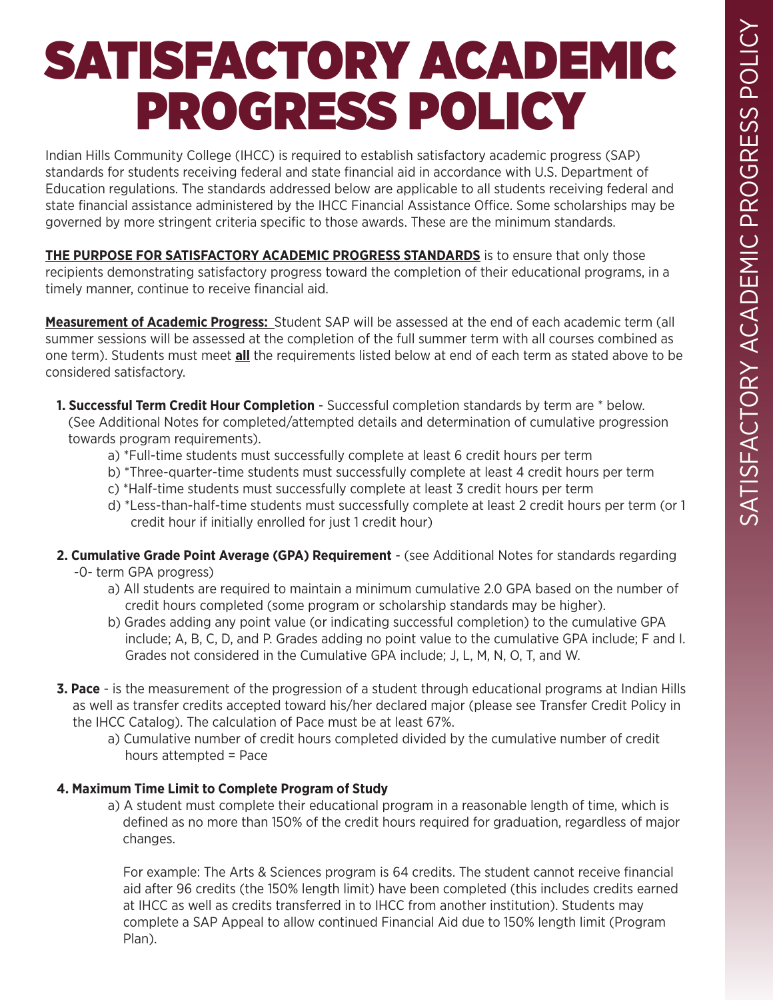## SATISFACTORY ACADEMIC PROGRESS POLICY

Indian Hills Community College (IHCC) is required to establish satisfactory academic progress (SAP) standards for students receiving federal and state financial aid in accordance with U.S. Department of Education regulations. The standards addressed below are applicable to all students receiving federal and state financial assistance administered by the IHCC Financial Assistance Office. Some scholarships may be governed by more stringent criteria specific to those awards. These are the minimum standards.

**THE PURPOSE FOR SATISFACTORY ACADEMIC PROGRESS STANDARDS** is to ensure that only those recipients demonstrating satisfactory progress toward the completion of their educational programs, in a timely manner, continue to receive financial aid.

**Measurement of Academic Progress:** Student SAP will be assessed at the end of each academic term (all summer sessions will be assessed at the completion of the full summer term with all courses combined as one term). Students must meet **all** the requirements listed below at end of each term as stated above to be considered satisfactory.

**1. Successful Term Credit Hour Completion** - Successful completion standards by term are \* below. (See Additional Notes for completed/attempted details and determination of cumulative progression towards program requirements).

- a) \*Full-time students must successfully complete at least 6 credit hours per term
- b) \*Three-quarter-time students must successfully complete at least 4 credit hours per term
- c) \*Half-time students must successfully complete at least 3 credit hours per term
- d) \*Less-than-half-time students must successfully complete at least 2 credit hours per term (or 1 credit hour if initially enrolled for just 1 credit hour)
- **2. Cumulative Grade Point Average (GPA) Requirement** (see Additional Notes for standards regarding -0- term GPA progress)
	- a) All students are required to maintain a minimum cumulative 2.0 GPA based on the number of credit hours completed (some program or scholarship standards may be higher).
	- b) Grades adding any point value (or indicating successful completion) to the cumulative GPA include; A, B, C, D, and P. Grades adding no point value to the cumulative GPA include; F and I. Grades not considered in the Cumulative GPA include; J, L, M, N, O, T, and W.
- **3. Pace** is the measurement of the progression of a student through educational programs at Indian Hills as well as transfer credits accepted toward his/her declared major (please see Transfer Credit Policy in the IHCC Catalog). The calculation of Pace must be at least 67%.
	- a) Cumulative number of credit hours completed divided by the cumulative number of credit hours attempted = Pace

## **4. Maximum Time Limit to Complete Program of Study**

a) A student must complete their educational program in a reasonable length of time, which is defined as no more than 150% of the credit hours required for graduation, regardless of major changes.

For example: The Arts & Sciences program is 64 credits. The student cannot receive financial aid after 96 credits (the 150% length limit) have been completed (this includes credits earned at IHCC as well as credits transferred in to IHCC from another institution). Students may complete a SAP Appeal to allow continued Financial Aid due to 150% length limit (Program Plan).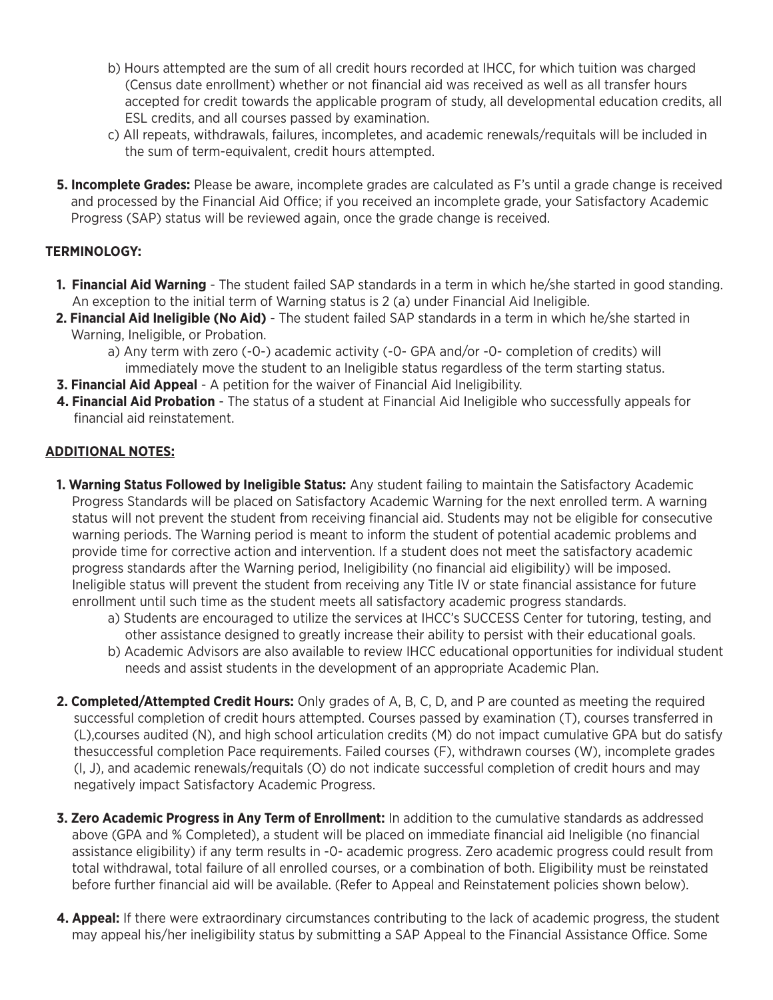- b) Hours attempted are the sum of all credit hours recorded at IHCC, for which tuition was charged (Census date enrollment) whether or not financial aid was received as well as all transfer hours accepted for credit towards the applicable program of study, all developmental education credits, all ESL credits, and all courses passed by examination.
- c) All repeats, withdrawals, failures, incompletes, and academic renewals/requitals will be included in the sum of term-equivalent, credit hours attempted.
- **5. Incomplete Grades:** Please be aware, incomplete grades are calculated as F's until a grade change is received and processed by the Financial Aid Office; if you received an incomplete grade, your Satisfactory Academic Progress (SAP) status will be reviewed again, once the grade change is received.

## **TERMINOLOGY:**

- **1. Financial Aid Warning** The student failed SAP standards in a term in which he/she started in good standing. An exception to the initial term of Warning status is 2 (a) under Financial Aid Ineligible.
- **2. Financial Aid Ineligible (No Aid)** The student failed SAP standards in a term in which he/she started in Warning, Ineligible, or Probation.
	- a) Any term with zero (-0-) academic activity (-0- GPA and/or -0- completion of credits) will immediately move the student to an Ineligible status regardless of the term starting status.
- **3. Financial Aid Appeal** A petition for the waiver of Financial Aid Ineligibility.
- **4. Financial Aid Probation** The status of a student at Financial Aid Ineligible who successfully appeals for financial aid reinstatement.

## **ADDITIONAL NOTES:**

- **1. Warning Status Followed by Ineligible Status:** Any student failing to maintain the Satisfactory Academic Progress Standards will be placed on Satisfactory Academic Warning for the next enrolled term. A warning status will not prevent the student from receiving financial aid. Students may not be eligible for consecutive warning periods. The Warning period is meant to inform the student of potential academic problems and provide time for corrective action and intervention. If a student does not meet the satisfactory academic progress standards after the Warning period, Ineligibility (no financial aid eligibility) will be imposed. Ineligible status will prevent the student from receiving any Title IV or state financial assistance for future enrollment until such time as the student meets all satisfactory academic progress standards.
	- a) Students are encouraged to utilize the services at IHCC's SUCCESS Center for tutoring, testing, and other assistance designed to greatly increase their ability to persist with their educational goals.
	- b) Academic Advisors are also available to review IHCC educational opportunities for individual student needs and assist students in the development of an appropriate Academic Plan.
- **2. Completed/Attempted Credit Hours:** Only grades of A, B, C, D, and P are counted as meeting the required successful completion of credit hours attempted. Courses passed by examination (T), courses transferred in (L),courses audited (N), and high school articulation credits (M) do not impact cumulative GPA but do satisfy thesuccessful completion Pace requirements. Failed courses (F), withdrawn courses (W), incomplete grades (I, J), and academic renewals/requitals (O) do not indicate successful completion of credit hours and may negatively impact Satisfactory Academic Progress.
- **3. Zero Academic Progress in Any Term of Enrollment:** In addition to the cumulative standards as addressed above (GPA and % Completed), a student will be placed on immediate financial aid Ineligible (no financial assistance eligibility) if any term results in -0- academic progress. Zero academic progress could result from total withdrawal, total failure of all enrolled courses, or a combination of both. Eligibility must be reinstated before further financial aid will be available. (Refer to Appeal and Reinstatement policies shown below).
- **4. Appeal:** If there were extraordinary circumstances contributing to the lack of academic progress, the student may appeal his/her ineligibility status by submitting a SAP Appeal to the Financial Assistance Office. Some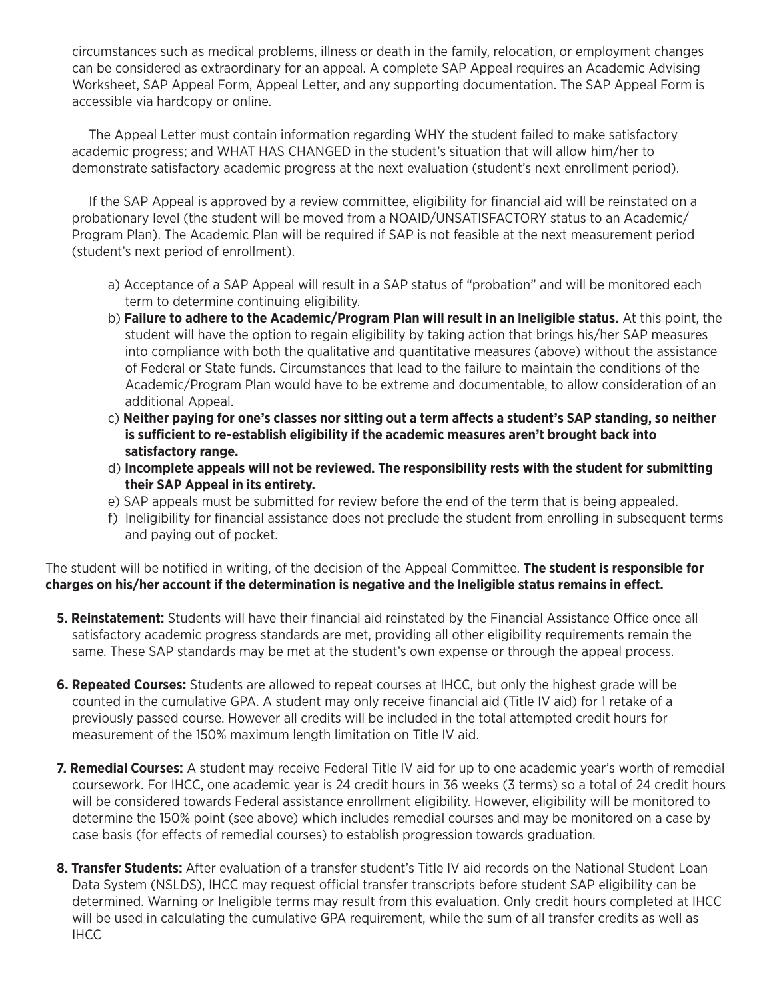circumstances such as medical problems, illness or death in the family, relocation, or employment changes can be considered as extraordinary for an appeal. A complete SAP Appeal requires an Academic Advising Worksheet, SAP Appeal Form, Appeal Letter, and any supporting documentation. The SAP Appeal Form is accessible via hardcopy or online.

The Appeal Letter must contain information regarding WHY the student failed to make satisfactory academic progress; and WHAT HAS CHANGED in the student's situation that will allow him/her to demonstrate satisfactory academic progress at the next evaluation (student's next enrollment period).

If the SAP Appeal is approved by a review committee, eligibility for financial aid will be reinstated on a probationary level (the student will be moved from a NOAID/UNSATISFACTORY status to an Academic/ Program Plan). The Academic Plan will be required if SAP is not feasible at the next measurement period (student's next period of enrollment).

- a) Acceptance of a SAP Appeal will result in a SAP status of "probation" and will be monitored each term to determine continuing eligibility.
- b) **Failure to adhere to the Academic/Program Plan will result in an Ineligible status.** At this point, the student will have the option to regain eligibility by taking action that brings his/her SAP measures into compliance with both the qualitative and quantitative measures (above) without the assistance of Federal or State funds. Circumstances that lead to the failure to maintain the conditions of the Academic/Program Plan would have to be extreme and documentable, to allow consideration of an additional Appeal.
- c) **Neither paying for one's classes nor sitting out a term affects a student's SAP standing, so neither is sufficient to re-establish eligibility if the academic measures aren't brought back into satisfactory range.**
- d) **Incomplete appeals will not be reviewed. The responsibility rests with the student for submitting their SAP Appeal in its entirety.**
- e) SAP appeals must be submitted for review before the end of the term that is being appealed.
- f) Ineligibility for financial assistance does not preclude the student from enrolling in subsequent terms and paying out of pocket.

The student will be notified in writing, of the decision of the Appeal Committee. **The student is responsible for charges on his/her account if the determination is negative and the Ineligible status remains in effect.**

- **5. Reinstatement:** Students will have their financial aid reinstated by the Financial Assistance Office once all satisfactory academic progress standards are met, providing all other eligibility requirements remain the same. These SAP standards may be met at the student's own expense or through the appeal process.
- **6. Repeated Courses:** Students are allowed to repeat courses at IHCC, but only the highest grade will be counted in the cumulative GPA. A student may only receive financial aid (Title IV aid) for 1 retake of a previously passed course. However all credits will be included in the total attempted credit hours for measurement of the 150% maximum length limitation on Title IV aid.
- **7. Remedial Courses:** A student may receive Federal Title IV aid for up to one academic year's worth of remedial coursework. For IHCC, one academic year is 24 credit hours in 36 weeks (3 terms) so a total of 24 credit hours will be considered towards Federal assistance enrollment eligibility. However, eligibility will be monitored to determine the 150% point (see above) which includes remedial courses and may be monitored on a case by case basis (for effects of remedial courses) to establish progression towards graduation.
- **8. Transfer Students:** After evaluation of a transfer student's Title IV aid records on the National Student Loan Data System (NSLDS), IHCC may request official transfer transcripts before student SAP eligibility can be determined. Warning or Ineligible terms may result from this evaluation. Only credit hours completed at IHCC will be used in calculating the cumulative GPA requirement, while the sum of all transfer credits as well as IHCC